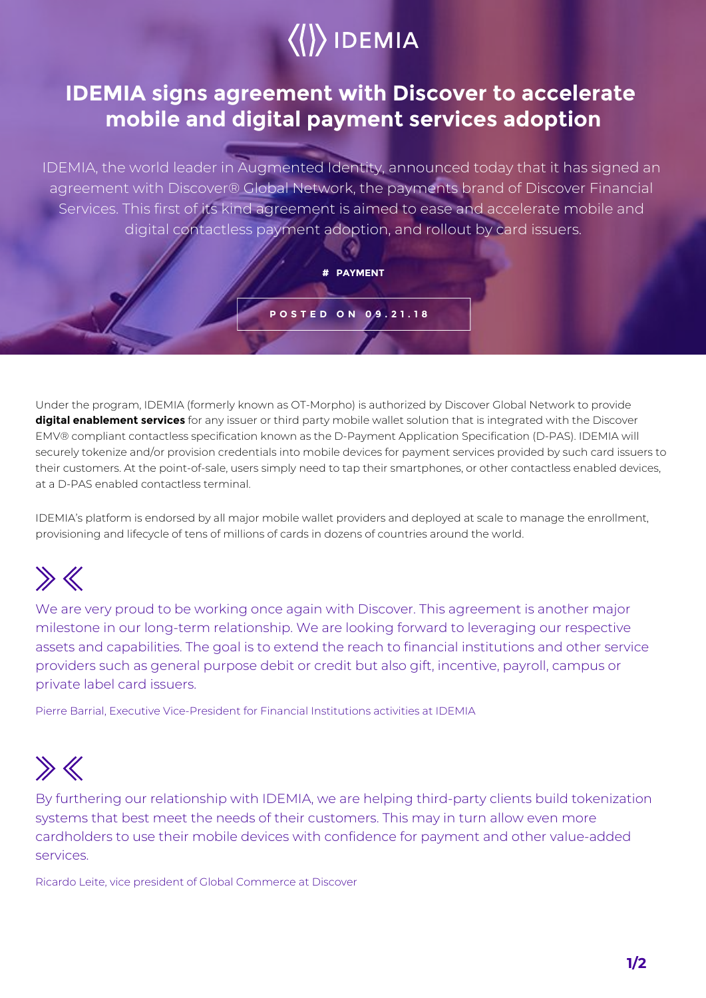

## **IDEMIA signs agreement with Discover to accelerate mobile and digital payment services adoption**

IDEMIA, the world leader in Augmented Identity, announced today that it has signed an agreement with Discover® Global Network, the payments brand of Discover Financial Services. This first of its kind agreement is aimed to ease and accelerate mobile and digital contactless payment adoption, and rollout by card issuers.

**# PAYMENT**

**POSTED ON 09.21.18**

Under the program, IDEMIA (formerly known as OT-Morpho) is authorized by Discover Global Network to provide **digital enablement services** for any issuer or third party mobile wallet solution that is integrated with the Discover EMV® compliant contactless specification known as the D-Payment Application Specification (D-PAS). IDEMIA will securely tokenize and/or provision credentials into mobile devices for payment services provided by such card issuers to their customers. At the point-of-sale, users simply need to tap their smartphones, or other contactless enabled devices, at a D-PAS enabled contactless terminal.

IDEMIA's platform is endorsed by all major mobile wallet providers and deployed at scale to manage the enrollment, provisioning and lifecycle of tens of millions of cards in dozens of countries around the world.

## $\gg K$

We are very proud to be working once again with Discover. This agreement is another major milestone in our long-term relationship. We are looking forward to leveraging our respective assets and capabilities. The goal is to extend the reach to financial institutions and other service providers such as general purpose debit or credit but also gift, incentive, payroll, campus or private label card issuers.

Pierre Barrial, Executive Vice-President for Financial Institutions activities at IDEMIA

## $\gg K$

By furthering our relationship with IDEMIA, we are helping third-party clients build tokenization systems that best meet the needs of their customers. This may in turn allow even more cardholders to use their mobile devices with confidence for payment and other value-added services.

Ricardo Leite, vice president of Global Commerce at Discover